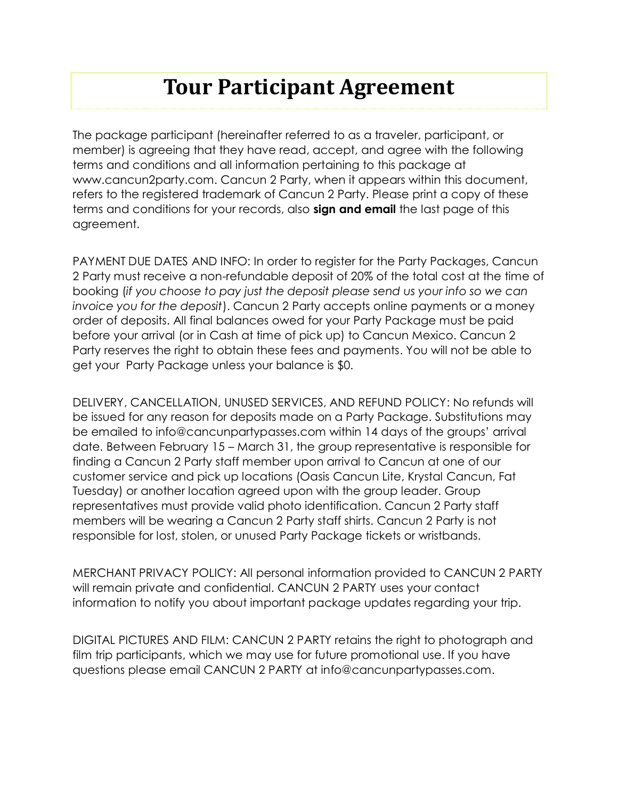## **Tour Participant Agreement**

The package participant (hereinafter referred to as a traveler, participant, or member) is agreeing that they have read, accept, and agree with the following terms and conditions and all information pertaining to this package at www.cancun2party.com. Cancun 2 Party, when it appears within this document, refers to the registered trademark of Cancun 2 Party. Please print a copy of these terms and conditions for your records, also **sign and email** the last page of this agreement.

PAYMENT DUE DATES AND INFO: In order to register for the Party Packages, Cancun 2 Party must receive a non-refundable deposit of 20% of the total cost at the time of booking (*if you choose to pay just the deposit please send us your info so we can invoice you for the deposit*). Cancun 2 Party accepts online payments or a money order of deposits. All final balances owed for your Party Package must be paid before your arrival (or in Cash at time of pick up) to Cancun Mexico. Cancun 2 Party reserves the right to obtain these fees and payments. You will not be able to get your Party Package unless your balance is \$0.

DELIVERY, CANCELLATION, UNUSED SERVICES, AND REFUND POLICY: No refunds will be issued for any reason for deposits made on a Party Package. Substitutions may be emailed to info@cancunpartypasses.com within 14 days of the groups' arrival date. Between February 15 – March 31, the group representative is responsible for finding a Cancun 2 Party staff member upon arrival to Cancun at one of our customer service and pick up locations (Oasis Cancun Lite, Krystal Cancun, Fat Tuesday) or another location agreed upon with the group leader. Group representatives must provide valid photo identification. Cancun 2 Party staff members will be wearing a Cancun 2 Party staff shirts. Cancun 2 Party is not responsible for lost, stolen, or unused Party Package tickets or wristbands.

MERCHANT PRIVACY POLICY: All personal information provided to CANCUN 2 PARTY will remain private and confidential. CANCUN 2 PARTY uses your contact information to notify you about important package updates regarding your trip.

DIGITAL PICTURES AND FILM: CANCUN 2 PARTY retains the right to photograph and film trip participants, which we may use for future promotional use. If you have questions please email CANCUN 2 PARTY at info@cancunpartypasses.com.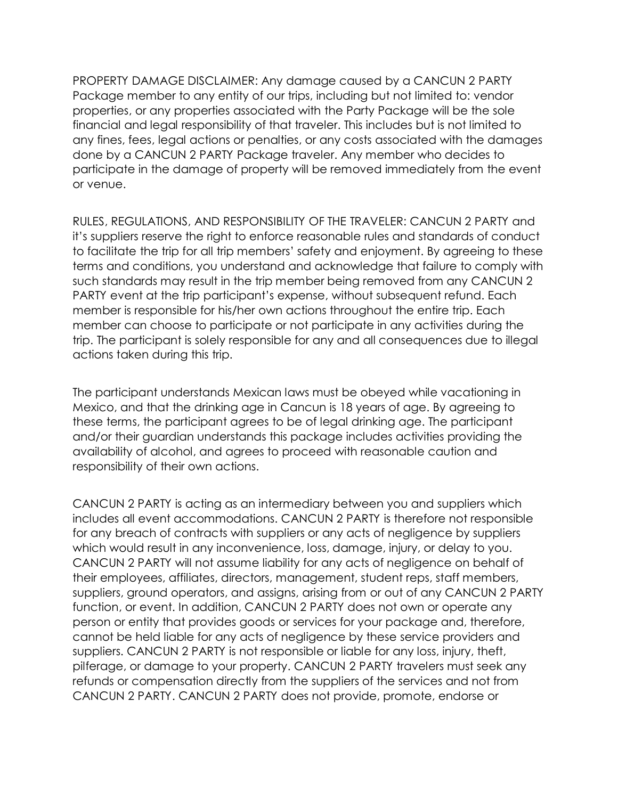PROPERTY DAMAGE DISCLAIMER: Any damage caused by a CANCUN 2 PARTY Package member to any entity of our trips, including but not limited to: vendor properties, or any properties associated with the Party Package will be the sole financial and legal responsibility of that traveler. This includes but is not limited to any fines, fees, legal actions or penalties, or any costs associated with the damages done by a CANCUN 2 PARTY Package traveler. Any member who decides to participate in the damage of property will be removed immediately from the event or venue.

RULES, REGULATIONS, AND RESPONSIBILITY OF THE TRAVELER: CANCUN 2 PARTY and it's suppliers reserve the right to enforce reasonable rules and standards of conduct to facilitate the trip for all trip members' safety and enjoyment. By agreeing to these terms and conditions, you understand and acknowledge that failure to comply with such standards may result in the trip member being removed from any CANCUN 2 PARTY event at the trip participant's expense, without subsequent refund. Each member is responsible for his/her own actions throughout the entire trip. Each member can choose to participate or not participate in any activities during the trip. The participant is solely responsible for any and all consequences due to illegal actions taken during this trip.

The participant understands Mexican laws must be obeyed while vacationing in Mexico, and that the drinking age in Cancun is 18 years of age. By agreeing to these terms, the participant agrees to be of legal drinking age. The participant and/or their guardian understands this package includes activities providing the availability of alcohol, and agrees to proceed with reasonable caution and responsibility of their own actions.

CANCUN 2 PARTY is acting as an intermediary between you and suppliers which includes all event accommodations. CANCUN 2 PARTY is therefore not responsible for any breach of contracts with suppliers or any acts of negligence by suppliers which would result in any inconvenience, loss, damage, injury, or delay to you. CANCUN 2 PARTY will not assume liability for any acts of negligence on behalf of their employees, affiliates, directors, management, student reps, staff members, suppliers, ground operators, and assigns, arising from or out of any CANCUN 2 PARTY function, or event. In addition, CANCUN 2 PARTY does not own or operate any person or entity that provides goods or services for your package and, therefore, cannot be held liable for any acts of negligence by these service providers and suppliers. CANCUN 2 PARTY is not responsible or liable for any loss, injury, theft, pilferage, or damage to your property. CANCUN 2 PARTY travelers must seek any refunds or compensation directly from the suppliers of the services and not from CANCUN 2 PARTY. CANCUN 2 PARTY does not provide, promote, endorse or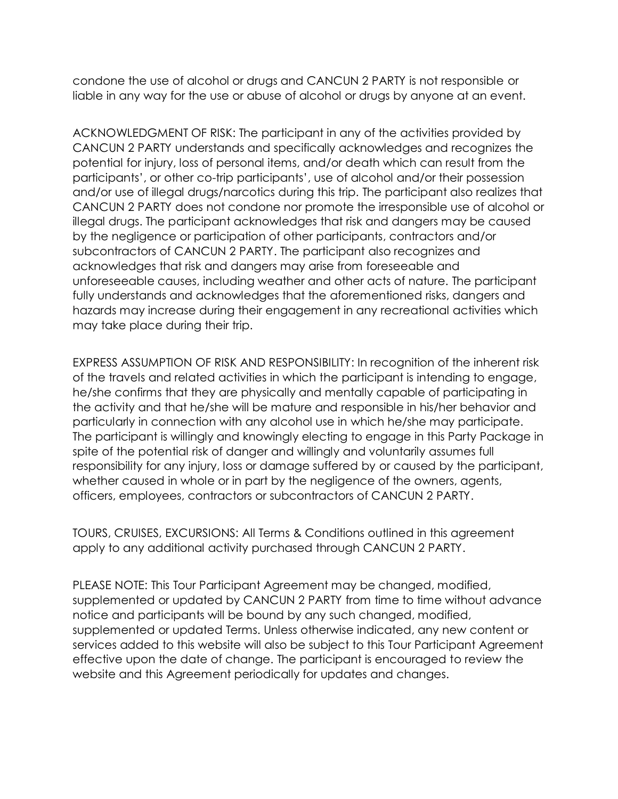condone the use of alcohol or drugs and CANCUN 2 PARTY is not responsible or liable in any way for the use or abuse of alcohol or drugs by anyone at an event.

ACKNOWLEDGMENT OF RISK: The participant in any of the activities provided by CANCUN 2 PARTY understands and specifically acknowledges and recognizes the potential for injury, loss of personal items, and/or death which can result from the participants', or other co-trip participants', use of alcohol and/or their possession and/or use of illegal drugs/narcotics during this trip. The participant also realizes that CANCUN 2 PARTY does not condone nor promote the irresponsible use of alcohol or illegal drugs. The participant acknowledges that risk and dangers may be caused by the negligence or participation of other participants, contractors and/or subcontractors of CANCUN 2 PARTY. The participant also recognizes and acknowledges that risk and dangers may arise from foreseeable and unforeseeable causes, including weather and other acts of nature. The participant fully understands and acknowledges that the aforementioned risks, dangers and hazards may increase during their engagement in any recreational activities which may take place during their trip.

EXPRESS ASSUMPTION OF RISK AND RESPONSIBILITY: In recognition of the inherent risk of the travels and related activities in which the participant is intending to engage, he/she confirms that they are physically and mentally capable of participating in the activity and that he/she will be mature and responsible in his/her behavior and particularly in connection with any alcohol use in which he/she may participate. The participant is willingly and knowingly electing to engage in this Party Package in spite of the potential risk of danger and willingly and voluntarily assumes full responsibility for any injury, loss or damage suffered by or caused by the participant, whether caused in whole or in part by the negligence of the owners, agents, officers, employees, contractors or subcontractors of CANCUN 2 PARTY.

TOURS, CRUISES, EXCURSIONS: All Terms & Conditions outlined in this agreement apply to any additional activity purchased through CANCUN 2 PARTY.

PLEASE NOTE: This Tour Participant Agreement may be changed, modified, supplemented or updated by CANCUN 2 PARTY from time to time without advance notice and participants will be bound by any such changed, modified, supplemented or updated Terms. Unless otherwise indicated, any new content or services added to this website will also be subject to this Tour Participant Agreement effective upon the date of change. The participant is encouraged to review the website and this Agreement periodically for updates and changes.